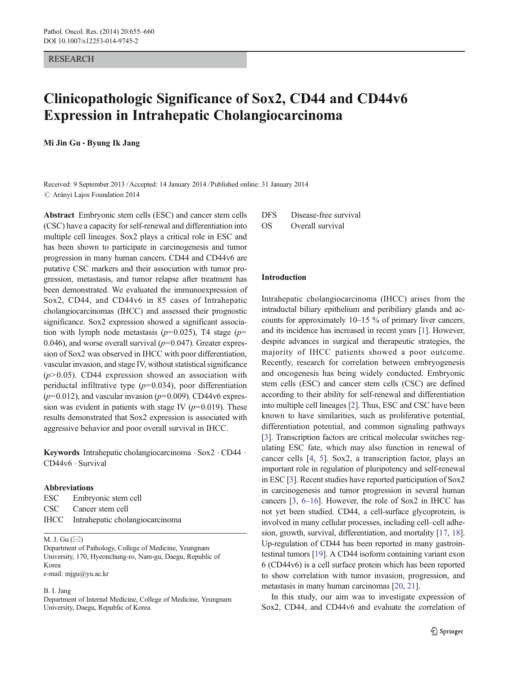#### RESEARCH

# Clinicopathologic Significance of Sox2, CD44 and CD44v6 Expression in Intrahepatic Cholangiocarcinoma

Mi Jin  $Gu \cdot Byung$  Ik Jang

Received: 9 September 2013 /Accepted: 14 January 2014 /Published online: 31 January 2014  $\oslash$  Arányi Lajos Foundation 2014

Abstract Embryonic stem cells (ESC) and cancer stem cells (CSC) have a capacity for self-renewal and differentiation into multiple cell lineages. Sox2 plays a critical role in ESC and has been shown to participate in carcinogenesis and tumor progression in many human cancers. CD44 and CD44v6 are putative CSC markers and their association with tumor progression, metastasis, and tumor relapse after treatment has been demonstrated. We evaluated the immunoexpression of Sox2, CD44, and CD44v6 in 85 cases of Intrahepatic cholangiocarcinomas (IHCC) and assessed their prognostic significance. Sox2 expression showed a significant association with lymph node metastasis ( $p=0.025$ ), T4 stage ( $p=$ 0.046), and worse overall survival  $(p=0.047)$ . Greater expression of Sox2 was observed in IHCC with poor differentiation, vascular invasion, and stage IV, without statistical significance  $(p>0.05)$ . CD44 expression showed an association with periductal infiltrative type  $(p=0.034)$ , poor differentiation  $(p=0.012)$ , and vascular invasion  $(p=0.009)$ . CD44v6 expression was evident in patients with stage IV ( $p=0.019$ ). These results demonstrated that Sox2 expression is associated with aggressive behavior and poor overall survival in IHCC.

Keywords Intrahepatic cholangiocarcinoma . Sox2 . CD44 . CD44v6 . Survival

### Abbreviations

| ESC Embryonic stem cell              |
|--------------------------------------|
| CSC Cancer stem cell                 |
| IHCC Intrahepatic cholangiocarcinoma |

#### M. J. Gu  $(\boxtimes)$

Department of Pathology, College of Medicine, Yeungnam University, 170, Hyeonchung-ro, Nam-gu, Daegu, Republic of Korea e-mail: mjgu@yu.ac.kr

#### B. I. Jang

Department of Internal Medicine, College of Medicine, Yeungnam University, Daegu, Republic of Korea

DFS Disease-free survival OS Overall survival

#### Introduction

Intrahepatic cholangiocarcinoma (IHCC) arises from the intraductal biliary epithelium and peribiliary glands and accounts for approximately 10–15 % of primary liver cancers, and its incidence has increased in recent years [\[1](#page-4-0)]. However, despite advances in surgical and therapeutic strategies, the majority of IHCC patients showed a poor outcome. Recently, research for correlation between embryogenesis and oncogenesis has being widely conducted. Embryonic stem cells (ESC) and cancer stem cells (CSC) are defined according to their ability for self-renewal and differentiation into multiple cell lineages [[2\]](#page-4-0). Thus, ESC and CSC have been known to have similarities, such as proliferative potential, differentiation potential, and common signaling pathways [\[3](#page-4-0)]. Transcription factors are critical molecular switches regulating ESC fate, which may also function in renewal of cancer cells [\[4](#page-4-0), [5\]](#page-4-0). Sox2, a transcription factor, plays an important role in regulation of pluripotency and self-renewal in ESC [[3\]](#page-4-0). Recent studies have reported participation of Sox2 in carcinogenesis and tumor progression in several human cancers [[3,](#page-4-0) [6](#page-4-0)–[16](#page-4-0)]. However, the role of Sox2 in IHCC has not yet been studied. CD44, a cell-surface glycoprotein, is involved in many cellular processes, including cell–cell adhesion, growth, survival, differentiation, and mortality [\[17,](#page-4-0) [18\]](#page-4-0). Up-regulation of CD44 has been reported in many gastrointestinal tumors [\[19](#page-5-0)]. A CD44 isoform containing variant exon 6 (CD44v6) is a cell surface protein which has been reported to show correlation with tumor invasion, progression, and metastasis in many human carcinomas [[20,](#page-5-0) [21](#page-5-0)].

In this study, our aim was to investigate expression of Sox2, CD44, and CD44v6 and evaluate the correlation of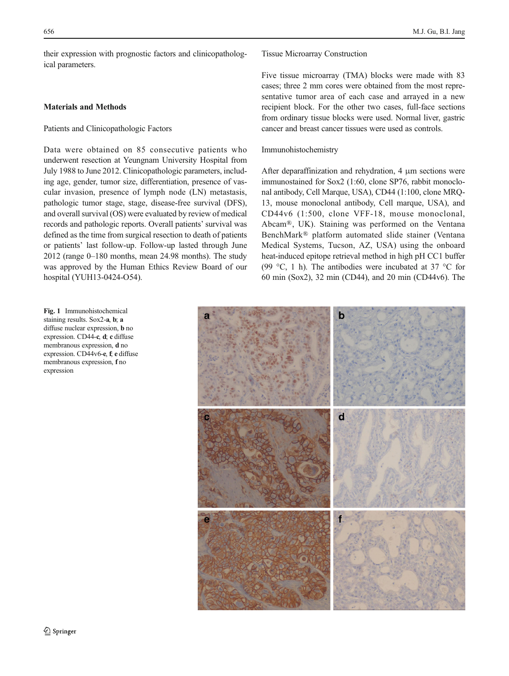<span id="page-1-0"></span>their expression with prognostic factors and clinicopathological parameters.

## Materials and Methods

## Patients and Clinicopathologic Factors

Data were obtained on 85 consecutive patients who underwent resection at Yeungnam University Hospital from July 1988 to June 2012. Clinicopathologic parameters, including age, gender, tumor size, differentiation, presence of vascular invasion, presence of lymph node (LN) metastasis, pathologic tumor stage, stage, disease-free survival (DFS), and overall survival (OS) were evaluated by review of medical records and pathologic reports. Overall patients' survival was defined as the time from surgical resection to death of patients or patients' last follow-up. Follow-up lasted through June 2012 (range 0–180 months, mean 24.98 months). The study was approved by the Human Ethics Review Board of our hospital (YUH13-0424-O54).

Fig. 1 Immunohistochemical staining results. Sox2-a, b; a diffuse nuclear expression, b no expression. CD44-c, d; c diffuse membranous expression, d no expression. CD44v6-e, f; e diffuse membranous expression, f no expression

Tissue Microarray Construction

Five tissue microarray (TMA) blocks were made with 83 cases; three 2 mm cores were obtained from the most representative tumor area of each case and arrayed in a new recipient block. For the other two cases, full-face sections from ordinary tissue blocks were used. Normal liver, gastric cancer and breast cancer tissues were used as controls.

Immunohistochemistry

After deparaffinization and rehydration, 4 μm sections were immunostained for Sox2 (1:60, clone SP76, rabbit monoclonal antibody, Cell Marque, USA), CD44 (1:100, clone MRQ-13, mouse monoclonal antibody, Cell marque, USA), and CD44v6 (1:500, clone VFF-18, mouse monoclonal, Abcam®, UK). Staining was performed on the Ventana BenchMark® platform automated slide stainer (Ventana Medical Systems, Tucson, AZ, USA) using the onboard heat-induced epitope retrieval method in high pH CC1 buffer (99 °C, 1 h). The antibodies were incubated at 37 °C for 60 min (Sox2), 32 min (CD44), and 20 min (CD44v6). The

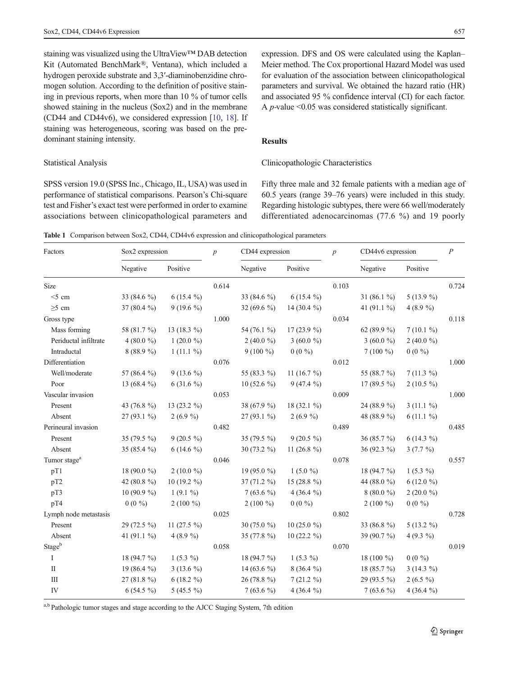<span id="page-2-0"></span>staining was visualized using the UltraView™ DAB detection Kit (Automated BenchMark®, Ventana), which included a hydrogen peroxide substrate and 3,3′-diaminobenzidine chromogen solution. According to the definition of positive staining in previous reports, when more than 10 % of tumor cells showed staining in the nucleus (Sox2) and in the membrane (CD44 and CD44v6), we considered expression [\[10](#page-4-0), [18\]](#page-4-0). If staining was heterogeneous, scoring was based on the predominant staining intensity.

### Statistical Analysis

SPSS version 19.0 (SPSS Inc., Chicago, IL, USA) was used in performance of statistical comparisons. Pearson's Chi-square test and Fisher's exact test were performed in order to examine associations between clinicopathological parameters and expression. DFS and OS were calculated using the Kaplan– Meier method. The Cox proportional Hazard Model was used for evaluation of the association between clinicopathological parameters and survival. We obtained the hazard ratio (HR) and associated 95 % confidence interval (CI) for each factor. A p-value <0.05 was considered statistically significant.

# Results

## Clinicopathologic Characteristics

Fifty three male and 32 female patients with a median age of 60.5 years (range 39–76 years) were included in this study. Regarding histologic subtypes, there were 66 well/moderately differentiated adenocarcinomas (77.6 %) and 19 poorly

Table 1 Comparison between Sox2, CD44, CD44v6 expression and clinicopathological parameters

| Factors                  | Sox2 expression |               | $\boldsymbol{p}$ | CD44 expression |                 | $\boldsymbol{p}$ | CD44v6 expression     |             | $\boldsymbol{P}$ |
|--------------------------|-----------------|---------------|------------------|-----------------|-----------------|------------------|-----------------------|-------------|------------------|
|                          | Negative        | Positive      |                  | Negative        | Positive        |                  | Negative              | Positive    |                  |
| Size                     |                 |               | 0.614            |                 |                 | 0.103            |                       |             | 0.724            |
| $<$ 5 cm                 | 33 (84.6 %)     | $6(15.4\%)$   |                  | 33 (84.6 %)     | $6(15.4\%)$     |                  | 31 $(86.1\%)$         | $5(13.9\%)$ |                  |
| $\geq$ 5 cm              | 37 (80.4 %)     | $9(19.6\%)$   |                  | 32 (69.6 $\%$ ) | 14 (30.4 $\%$ ) |                  | 41 (91.1 %)           | 4 (8.9 %)   |                  |
| Gross type               |                 |               | 1.000            |                 |                 | 0.034            |                       |             | 0.118            |
| Mass forming             | 58 (81.7 %)     | 13 $(18.3\%)$ |                  | 54 (76.1 %)     | $17(23.9\%)$    |                  | 62 (89.9 %)           | $7(10.1\%)$ |                  |
| Periductal infiltrate    | 4 (80.0 %)      | $1(20.0\%)$   |                  | 2 (40.0 %)      | 3 (60.0 %)      |                  | 3 (60.0 %)            | 2 (40.0 %)  |                  |
| Intraductal              | 8(88.9%)        | $1(11.1\%)$   |                  | $9(100\%)$      | $0(0\%)$        |                  | $7(100\%)$            | $0(0\%)$    |                  |
| Differentiation          |                 |               | 0.076            |                 |                 | 0.012            |                       |             | 1.000            |
| Well/moderate            | 57 (86.4 %)     | $9(13.6\%)$   |                  | 55 (83.3 %)     | 11 $(16.7 \%)$  |                  | 55 (88.7 %)           | $7(11.3\%)$ |                  |
| Poor                     | 13 $(68.4\%)$   | $6(31.6\%)$   |                  | 10 $(52.6\%)$   | $9(47.4\%)$     |                  | 17 $(89.5\%)$         | $2(10.5\%)$ |                  |
| Vascular invasion        |                 |               | 0.053            |                 |                 | 0.009            |                       |             | 1.000            |
| Present                  | 43 (76.8 %)     | 13 (23.2 %)   |                  | 38 (67.9 %)     | 18 (32.1 %)     |                  | 24 (88.9 %)           | $3(11.1\%)$ |                  |
| Absent                   | $27(93.1\%)$    | $2(6.9\%)$    |                  | $27(93.1\%)$    | $2(6.9\%)$      |                  | 48 (88.9 %)           | $6(11.1\%)$ |                  |
| Perineural invasion      |                 |               | 0.482            |                 |                 | 0.489            |                       |             | 0.485            |
| Present                  | 35 (79.5 %)     | $9(20.5\%)$   |                  | 35 (79.5 %)     | $9(20.5\%)$     |                  | 36 (85.7 %)           | $6(14.3\%)$ |                  |
| Absent                   | 35 (85.4 %)     | $6(14.6\%)$   |                  | 30 $(73.2\%$    | 11 $(26.8\%)$   |                  | 36 $(92.3\%)$         | $3(7.7\%)$  |                  |
| Tumor stage <sup>a</sup> |                 |               | 0.046            |                 |                 | 0.078            |                       |             | 0.557            |
| pT1                      | 18 (90.0 %)     | $2(10.0\%)$   |                  | 19 $(95.0\%$    | 1 $(5.0\%$      |                  | 18 (94.7 %)           | $1(5.3\%)$  |                  |
| pT2                      | 42 (80.8 %)     | $10(19.2\%)$  |                  | $37(71.2\%)$    | 15 (28.8 %)     |                  | 44 (88.0 %)           | $6(12.0\%)$ |                  |
| pT3                      | 10 (90.9 $%$ )  | $1(9.1\%)$    |                  | $7(63.6\%)$     | 4 (36.4 $\%$ )  |                  | $8(80.0\%)$           | $2(20.0\%)$ |                  |
| pT4                      | $0(0\%)$        | $2(100\%)$    |                  | $2(100\%)$      | $0(0\%)$        |                  | $2(100\%)$            | $0(0\%)$    |                  |
| Lymph node metastasis    |                 |               | 0.025            |                 |                 | 0.802            |                       |             | 0.728            |
| Present                  | $29(72.5\%)$    | 11 $(27.5\%)$ |                  | 30 $(75.0\%)$   | 10 $(25.0\%$    |                  | 33 (86.8 %)           | $5(13.2\%)$ |                  |
| Absent                   | 41 $(91.1\%)$   | 4 $(8.9\%$    |                  | 35 (77.8 %)     | 10 $(22.2\%)$   |                  | 39 (90.7 %)           | 4 $(9.3\%$  |                  |
| Stageb                   |                 |               | 0.058            |                 |                 | 0.070            |                       |             | 0.019            |
| I                        | 18 $(94.7\%)$   | $1(5.3\%)$    |                  | 18 $(94.7\%)$   | $1(5.3\%)$      |                  | 18 $(100\frac{9}{0})$ | $0(0\%)$    |                  |
| $\mathbf{I}$             | 19 $(86.4\%)$   | $3(13.6\%)$   |                  | 14 (63.6 $\%$ ) | $8(36.4\%)$     |                  | 18 (85.7 %)           | $3(14.3\%)$ |                  |
| III                      | $27(81.8\%)$    | $6(18.2\%)$   |                  | 26 (78.8 %)     | $7(21.2\%)$     |                  | 29 (93.5 %)           | $2(6.5\%)$  |                  |
| IV                       | $6(54.5\%)$     | $5(45.5\%)$   |                  | $7(63.6\%)$     | 4 (36.4 $\%$ )  |                  | $7(63.6\%)$           | $4(36.4\%)$ |                  |

a,b Pathologic tumor stages and stage according to the AJCC Staging System, 7th edition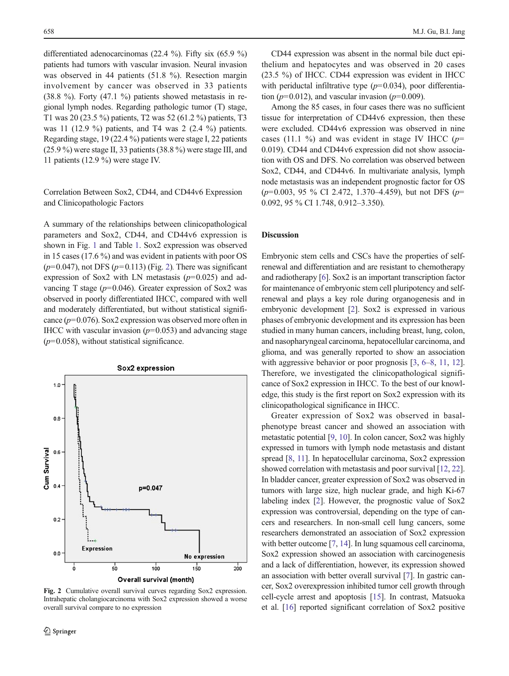differentiated adenocarcinomas (22.4 %). Fifty six (65.9 %) patients had tumors with vascular invasion. Neural invasion was observed in 44 patients (51.8 %). Resection margin involvement by cancer was observed in 33 patients  $(38.8 \%)$ . Forty  $(47.1 \%)$  patients showed metastasis in regional lymph nodes. Regarding pathologic tumor (T) stage, T1 was 20 (23.5 %) patients, T2 was 52 (61.2 %) patients, T3 was 11 (12.9 %) patients, and T4 was 2 (2.4 %) patients. Regarding stage, 19 (22.4 %) patients were stage I, 22 patients (25.9 %) were stage II, 33 patients (38.8 %) were stage III, and 11 patients (12.9 %) were stage IV.

# Correlation Between Sox2, CD44, and CD44v6 Expression and Clinicopathologic Factors

A summary of the relationships between clinicopathological parameters and Sox2, CD44, and CD44v6 expression is shown in Fig. [1](#page-1-0) and Table [1.](#page-2-0) Sox2 expression was observed in 15 cases (17.6 %) and was evident in patients with poor OS  $(p=0.047)$ , not DFS  $(p=0.113)$  (Fig. 2). There was significant expression of Sox2 with LN metastasis  $(p=0.025)$  and advancing T stage  $(p=0.046)$ . Greater expression of Sox2 was observed in poorly differentiated IHCC, compared with well and moderately differentiated, but without statistical significance  $(p=0.076)$ . Sox2 expression was observed more often in IHCC with vascular invasion  $(p=0.053)$  and advancing stage  $(p=0.058)$ , without statistical significance.



Fig. 2 Cumulative overall survival curves regarding Sox2 expression. Intrahepatic cholangiocarcinoma with Sox2 expression showed a worse overall survival compare to no expression

CD44 expression was absent in the normal bile duct epithelium and hepatocytes and was observed in 20 cases (23.5 %) of IHCC. CD44 expression was evident in IHCC with periductal infiltrative type  $(p=0.034)$ , poor differentiation ( $p=0.012$ ), and vascular invasion ( $p=0.009$ ).

Among the 85 cases, in four cases there was no sufficient tissue for interpretation of CD44v6 expression, then these were excluded. CD44v6 expression was observed in nine cases (11.1 %) and was evident in stage IV IHCC ( $p=$ 0.019). CD44 and CD44v6 expression did not show association with OS and DFS. No correlation was observed between Sox2, CD44, and CD44v6. In multivariate analysis, lymph node metastasis was an independent prognostic factor for OS  $(p=0.003, 95 \% \text{ CI } 2.472, 1.370-4.459)$ , but not DFS  $(p=$ 0.092, 95 % CI 1.748, 0.912–3.350).

## Discussion

Embryonic stem cells and CSCs have the properties of selfrenewal and differentiation and are resistant to chemotherapy and radiotherapy [\[6](#page-4-0)]. Sox2 is an important transcription factor for maintenance of embryonic stem cell pluripotency and selfrenewal and plays a key role during organogenesis and in embryonic development [[2](#page-4-0)]. Sox2 is expressed in various phases of embryonic development and its expression has been studied in many human cancers, including breast, lung, colon, and nasopharyngeal carcinoma, hepatocellular carcinoma, and glioma, and was generally reported to show an association with aggressive behavior or poor prognosis  $[3, 6-8, 11, 12]$  $[3, 6-8, 11, 12]$  $[3, 6-8, 11, 12]$  $[3, 6-8, 11, 12]$  $[3, 6-8, 11, 12]$  $[3, 6-8, 11, 12]$  $[3, 6-8, 11, 12]$  $[3, 6-8, 11, 12]$  $[3, 6-8, 11, 12]$ . Therefore, we investigated the clinicopathological significance of Sox2 expression in IHCC. To the best of our knowledge, this study is the first report on Sox2 expression with its clinicopathological significance in IHCC.

Greater expression of Sox2 was observed in basalphenotype breast cancer and showed an association with metastatic potential [[9,](#page-4-0) [10](#page-4-0)]. In colon cancer, Sox2 was highly expressed in tumors with lymph node metastasis and distant spread [\[8](#page-4-0), [11](#page-4-0)]. In hepatocellular carcinoma, Sox2 expression showed correlation with metastasis and poor survival [[12](#page-4-0), [22\]](#page-5-0). In bladder cancer, greater expression of Sox2 was observed in tumors with large size, high nuclear grade, and high Ki-67 labeling index [\[2\]](#page-4-0). However, the prognostic value of Sox2 expression was controversial, depending on the type of cancers and researchers. In non-small cell lung cancers, some researchers demonstrated an association of Sox2 expression with better outcome [\[7,](#page-4-0) [14](#page-4-0)]. In lung squamous cell carcinoma, Sox2 expression showed an association with carcinogenesis and a lack of differentiation, however, its expression showed an association with better overall survival [\[7\]](#page-4-0). In gastric cancer, Sox2 overexpression inhibited tumor cell growth through cell-cycle arrest and apoptosis [\[15](#page-4-0)]. In contrast, Matsuoka et al. [[16](#page-4-0)] reported significant correlation of Sox2 positive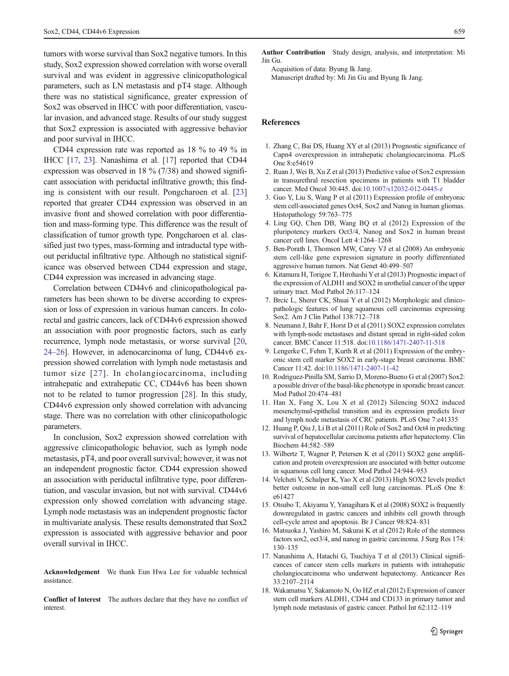<span id="page-4-0"></span>tumors with worse survival than Sox2 negative tumors. In this study, Sox2 expression showed correlation with worse overall survival and was evident in aggressive clinicopathological parameters, such as LN metastasis and pT4 stage. Although there was no statistical significance, greater expression of Sox2 was observed in IHCC with poor differentiation, vascular invasion, and advanced stage. Results of our study suggest that Sox2 expression is associated with aggressive behavior and poor survival in IHCC.

CD44 expression rate was reported as 18 % to 49 % in IHCC [17, [23\]](#page-5-0). Nanashima et al. [17] reported that CD44 expression was observed in 18 % (7/38) and showed significant association with periductal infiltrative growth; this finding is consistent with our result. Pongcharoen et al. [[23\]](#page-5-0) reported that greater CD44 expression was observed in an invasive front and showed correlation with poor differentiation and mass-forming type. This difference was the result of classification of tumor growth type. Pongcharoen et al. classified just two types, mass-forming and intraductal type without periductal infiltrative type. Although no statistical significance was observed between CD44 expression and stage, CD44 expression was increased in advancing stage.

Correlation between CD44v6 and clinicopathological parameters has been shown to be diverse according to expression or loss of expression in various human cancers. In colorectal and gastric cancers, lack of CD44v6 expression showed an association with poor prognostic factors, such as early recurrence, lymph node metastasis, or worse survival [[20,](#page-5-0) [24](#page-5-0)–[26](#page-5-0)]. However, in adenocarcinoma of lung, CD44v6 expression showed correlation with lymph node metastasis and tumor size [[27\]](#page-5-0). In cholangiocarcinoma, including intrahepatic and extrahepatic CC, CD44v6 has been shown not to be related to tumor progression [[28\]](#page-5-0). In this study, CD44v6 expression only showed correlation with advancing stage. There was no correlation with other clinicopathologic parameters.

In conclusion, Sox2 expression showed correlation with aggressive clinicopathologic behavior, such as lymph node metastasis, pT4, and poor overall survival; however, it was not an independent prognostic factor. CD44 expression showed an association with periductal infiltrative type, poor differentiation, and vascular invasion, but not with survival. CD44v6 expression only showed correlation with advancing stage. Lymph node metastasis was an independent prognostic factor in multivariate analysis. These results demonstrated that Sox2 expression is associated with aggressive behavior and poor overall survival in IHCC.

Acknowledgement We thank Eun Hwa Lee for valuable technical assistance.

Conflict of Interest The authors declare that they have no conflict of interest.

Author Contribution Study design, analysis, and interpretation: Mi Jin Gu.

Acquisition of data: Byung Ik Jang. Manuscript drafted by: Mi Jin Gu and Byung Ik Jang.

#### References

- 1. Zhang C, Bai DS, Huang XY et al (2013) Prognostic significance of Capn4 overexpression in intrahepatic cholangiocarcinoma. PLoS One 8:e54619
- 2. Ruan J, Wei B, Xu Z et al (2013) Predictive value of Sox2 expression in transurethral resection specimens in patients with T1 bladder cancer. Med Oncol 30:445. doi:[10.1007/s12032-012-0445-z](http://dx.doi.org/10.1007/s12032-012-0445-z)
- 3. Guo Y, Liu S, Wang P et al (2011) Expression profile of embryonic stem cell-associated genes Oct4, Sox2 and Nanog in human gliomas. Histopathology 59:763–775
- 4. Ling GQ, Chen DB, Wang BQ et al (2012) Expression of the pluripotency markers Oct3/4, Nanog and Sox2 in human breast cancer cell lines. Oncol Lett 4:1264–1268
- 5. Ben-Porath I, Thomson MW, Carey VJ et al (2008) An embryonic stem cell-like gene expression signature in poorly differentiated aggressive human tumors. Nat Genet 40:499–507
- 6. Kitamura H, Torigoe T, Hirohashi Yet al (2013) Prognostic impact of the expression of ALDH1 and SOX2 in urothelial cancer of the upper urinary tract. Mod Pathol 26:117–124
- 7. Brcic L, Sherer CK, Shuai Y et al (2012) Morphologic and clinicopathologic features of lung squamous cell carcinomas expressing Sox2. Am J Clin Pathol 138:712–718
- 8. Neumann J, Bahr F, Horst D et al (2011) SOX2 expression correlates with lymph-node metastases and distant spread in right-sided colon cancer. BMC Cancer 11:518. doi:[10.1186/1471-2407-11-518](http://dx.doi.org/10.1186/1471-2407-11-518)
- 9. Lengerke C, Fehm T, Kurth R et al (2011) Expression of the embryonic stem cell marker SOX2 in early-stage breast carcinoma. BMC Cancer 11:42. doi:[10.1186/1471-2407-11-42](http://dx.doi.org/10.1186/1471-2407-11-42)
- 10. Rodriguez-Pinilla SM, Sarrio D, Moreno-Bueno G et al (2007) Sox2: a possible driver of the basal-like phenotype in sporadic breast cancer. Mod Pathol 20:474–481
- 11. Han X, Fang X, Lou X et al (2012) Silencing SOX2 induced mesenchymal-epithelial transition and its expression predicts liver and lymph node metastasis of CRC patients. PLoS One 7:e41335
- 12. Huang P, Qiu J, Li B et al (2011) Role of Sox2 and Oct4 in predicting survival of hepatocellular carcinoma patients after hepatectomy. Clin Biochem 44:582–589
- 13. Wilbertz T, Wagner P, Petersen K et al (2011) SOX2 gene amplification and protein overexpression are associated with better outcome in squamous cell lung cancer. Mod Pathol 24:944–953
- 14. Velcheti V, Schalper K, Yao X et al (2013) High SOX2 levels predict better outcome in non-small cell lung carcinomas. PLoS One 8: e61427
- 15. Otsubo T, Akiyama Y, Yanagihara K et al (2008) SOX2 is frequently downregulated in gastric cancers and inhibits cell growth through cell-cycle arrest and apoptosis. Br J Cancer 98:824–831
- 16. Matsuoka J, Yashiro M, Sakurai K et al (2012) Role of the stemness factors sox2, oct3/4, and nanog in gastric carcinoma. J Surg Res 174: 130–135
- 17. Nanashima A, Hatachi G, Tsuchiya T et al (2013) Clinical significances of cancer stem cells markers in patients with intrahepatic cholangiocarcinoma who underwent hepatectomy. Anticancer Res 33:2107–2114
- 18. Wakamatsu Y, Sakamoto N, Oo HZ et al (2012) Expression of cancer stem cell markers ALDH1, CD44 and CD133 in primary tumor and lymph node metastasis of gastric cancer. Pathol Int 62:112–119